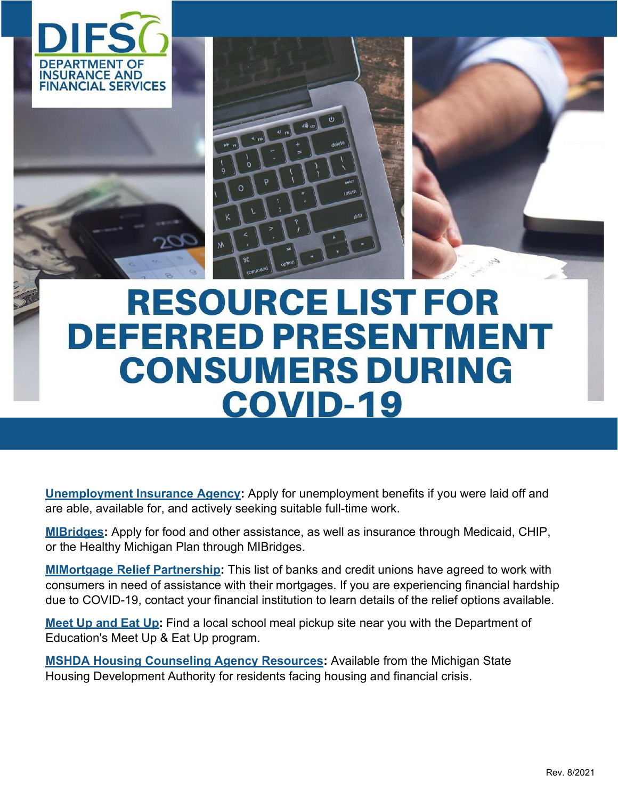



## **RESOURCE LIST FOR DEFERRED PRESENTMENT CONSUMERS DURING COVID-19**

**[Unemployment Insurance Agency:](https://miwam.unemployment.state.mi.us/ClmMiWAM/_/)** Apply for unemployment benefits if you were laid off and are able, available for, and actively seeking suitable full-time work.

**[MIBridges:](https://newmibridges.michigan.gov/s/isd-landing-page?language=en_US)** Apply for food and other assistance, as well as insurance through Medicaid, CHIP, or the Healthy Michigan Plan through MIBridges.

**[MIMortgage Relief Partnership:](https://www.michigan.gov/difs/0%2C5269%2C7-303-99549-526539--%2C00.html)** This list of banks and credit unions have agreed to work with consumers in need of assistance with their mortgages. If you are experiencing financial hardship due to COVID-19, contact your financial institution to learn details of the relief options available.

**[Meet](https://www.mcgi.state.mi.us/schoolnutrition/) Up and Eat Up:** Find a local school meal pickup site near you with the Department of Education's Meet Up & Eat Up program.

**[MSHDA Housing Counseling Agency Resources:](https://www.michigan.gov/documents/mshda/MSHDA_Housing_Counseling_Agency__Resources_updated_689466_7.pdf)** Available from the Michigan State Housing Development Authority for residents facing housing and financial crisis.